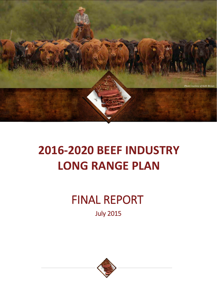

# **2016-2020 BEEF INDUSTRY LONG RANGE PLAN**

# FINAL REPORT

July 2015

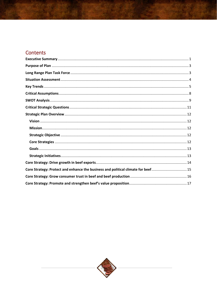# Contents

| Core Strategy: Protect and enhance the business and political climate for beef15 |
|----------------------------------------------------------------------------------|
|                                                                                  |
|                                                                                  |

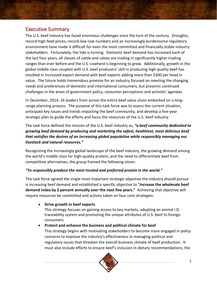## <span id="page-2-0"></span>Executive Summary

The U.S. beef industry has faced enormous challenges since the turn of the century. Droughts, record-high feed prices, record-low cow numbers and an increasingly burdensome regulatory environment have made it difficult for even the most committed and financially stable industry stakeholders. Fortunately, the tide is turning. Domestic beef demand has increased each of the last four years, all classes of cattle and calves are trading in significantly higher trading ranges than ever before and the U.S. cowherd is beginning to grow. Additionally, growth in the global middle class coupled with U.S. beef producers' skill in producing high quality beef has resulted in increased export demand with beef exports adding more than \$300 per head in value. The future holds tremendous promise for an industry focused on meeting the changing needs and preferences of domestic and international consumers, but presents continued challenges in the areas of government policy, consumer perceptions and activists' agendas.

In December, 2014, 16 leaders from across the entire beef value chain embarked on a longrange planning process. The purpose of this task force was to assess the current situation, anticipate key issues and trends impacting the beef community, and develop a five-year strategic plan to guide the efforts and focus the resources of the U.S. beef industry.

The task force defined the mission of the U.S. beef industry as, *"a beef community dedicated to growing beef demand by producing and marketing the safest, healthiest, most delicious beef that satisfies the desires of an increasing global population while responsibly managing our livestock and natural resources."* 

Recognizing the increasingly global landscape of the beef industry, the growing demand among the world's middle class for high-quality protein, and the need to differentiate beef from competitive alternatives, the group framed the following vision:

#### *"To responsibly produce the most trusted and preferred protein in the world."*

The task force agreed the single most important strategic objective the industry should pursue is increasing beef demand and established a specific objective to "**increase the wholesale beef demand index by 2 percent annually over the next five years."** Achieving that objective will require resources be committed and actions taken on four core strategies:

## • **Drive growth in beef exports**

This strategy focuses on gaining access to key markets, adopting an animal I.D. traceability system and promoting the unique attributes of U.S. beef to foreign consumers.

## • **Protect and enhance the business and political climate for beef**

This strategy begins with motivating stakeholders to become more engaged in policy concerns to improve the industry's effectiveness in managing political and regulatory issues that threaten the overall business climate of beef production. It must also include efforts to ensure beef's inclusion in dietary recommendations, the

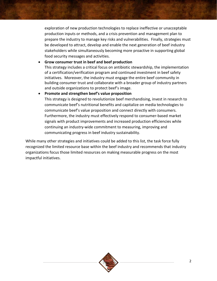exploration of new production technologies to replace ineffective or unacceptable production inputs or methods, and a crisis prevention and management plan to prepare the industry to manage key risks and vulnerabilities. Finally, strategies must be developed to attract, develop and enable the next generation of beef industry stakeholders while simultaneously becoming more proactive in supporting global food security messages and activities.

#### • **Grow consumer trust in beef and beef production** This strategy includes a critical focus on antibiotic stewardship, the implementation of a certification/verification program and continued investment in beef safety initiatives. Moreover, the industry must engage the entire beef community in building consumer trust and collaborate with a broader group of industry partners and outside organizations to protect beef's image.

#### • **Promote and strengthen beef's value proposition**

This strategy is designed to revolutionize beef merchandising, invest in research to communicate beef's nutritional benefits and capitalize on media technologies to communicate beef's value proposition and connect directly with consumers. Furthermore, the industry must effectively respond to consumer-based market signals with product improvements and increased production efficiencies while continuing an industry-wide commitment to measuring, improving and communicating progress in beef industry sustainability.

While many other strategies and initiatives could be added to this list, the task force fully recognized the limited resource base within the beef industry and recommends that industry organizations focus those limited resources on making measurable progress on the most impactful initiatives.

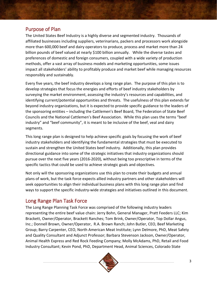# <span id="page-4-0"></span>Purpose of Plan

The United States Beef Industry is a highly diverse and segmented industry. Thousands of affiliated businesses including suppliers, veterinarians, packers and processors work alongside more than 600,000 beef and dairy operators to produce, process and market more than 24 billion pounds of beef valued at nearly \$100 billion annually. While the diverse tastes and preferences of domestic and foreign consumers, coupled with a wide variety of production methods, offer a vast array of business models and marketing opportunities, some issues impact all stakeholders' ability to profitably produce and market beef while managing resources responsibly and sustainably.

Every five years, the beef industry develops a long range plan. The purpose of this plan is to develop strategies that focus the energies and efforts of beef industry stakeholders by surveying the market environment, assessing the industry's resources and capabilities, and identifying current/potential opportunities and threats. The usefulness of this plan extends far beyond industry organizations, but it is expected to provide specific guidance to the leaders of the sponsoring entities – including the Cattlemen's Beef Board, The Federation of State Beef Councils and the National Cattlemen's Beef Association. While this plan uses the terms "beef industry" and "beef community", it is meant to be inclusive of the beef, veal and dairy segments.

This long range plan is designed to help achieve specific goals by focusing the work of beef industry stakeholders and identifying the fundamental strategies that must be executed to sustain and strengthen the United States beef industry. Additionally, this plan provides directional guidance into some of the strategic initiatives that industry organizations should pursue over the next five years (2016-2020), without being too prescriptive in terms of the specific tactics that could be used to achieve strategic goals and objectives.

Not only will the sponsoring organizations use this plan to create their budgets and annual plans of work, but the task force expects allied industry partners and other stakeholders will seek opportunities to align their individual business plans with this long range plan and find ways to support the specific industry-wide strategies and initiatives outlined in this document.

# <span id="page-4-1"></span>Long Range Plan Task Force

The Long Range Planning Task Force was comprised of the following industry leaders representing the entire beef value chain: Jerry Bohn, General Manager, Pratt Feeders LLC; Kim Brackett, Owner/Operator, Brackett Ranches; Tom Brink, Owner/Operator, Top Dollar Angus, Inc.; Donnell Brown, Owner/Operator, R.A. Brown Ranch; John Butler, CEO, Beef Marketing Group; Barry Carpenter, CEO, North American Meat Institute; Lynn Delmore, PhD, Meat Safety and Quality Consultant and Adjunct Professor; Barbara Stevenson Jackson, Owner/Operator, Animal Health Express and Red Rock Feeding Company; Molly McAdams, PhD, Retail and Food Industry Consultant; Kevin Pond, PhD, Department Head, Animal Sciences, Colorado State

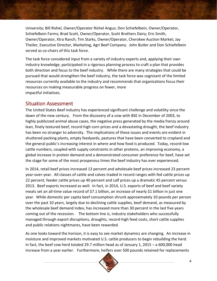University; Bill Rishel, Owner/Operator Rishel Angus; Don Schiefelbein, Owner/Operator, Schiefelbein Farms; Brad Scott, Owner/Operator, Scott Brothers Dairy; Eric Smith, Owner/Operator, Xtra Ranch; Tim Starks, Owner/Operator, Cherokee Auction Market; Jay Theiler, Executive Director, Marketing, Agri Beef Company. John Butler and Don Schiefelbein served as co-chairs of this task force.

The task force considered input from a variety of industry experts and, applying their own industry knowledge, participated in a rigorous planning process to craft a plan that provides both direction and focus to the beef industry. While there are many strategies that could be pursued that would strengthen the beef industry, the task force was cognizant of the limited resources currently available to the industry and recommends that organizations focus their resources on making measurable progress on fewer, more impactful initiatives.

## <span id="page-5-0"></span>Situation Assessment

The United States Beef industry has experienced significant challenge and volatility since the dawn of the new century. From the discovery of a cow with BSE in December of 2003, to highly publicized animal abuse cases, the negative press generated by the media frenzy around lean, finely textured beef, record high corn prices and a devastating drought, the beef industry has been no stranger to adversity. The implications of these issues and events are evident in shuttered packing plants, empty feedyards, pastures that have been converted to cropland and the general public's increasing interest in where and how food is produced. Today, record-low cattle numbers, coupled with supply constraints in other proteins, an improving economy, a global increase in protein demand and a demonstrated consumer preference for beef, have set the stage for some of the most prosperous times the beef industry has ever experienced.

In 2014, retail beef prices increased 13 percent and wholesale beef prices increased 23 percent year-over-year. All classes of cattle and calves traded in record ranges with fed cattle prices up 22 percent, feeder cattle prices up 40 percent and calf prices up a dramatic 45 percent versus 2013. Beef exports increased as well. In fact, in 2014, U.S. exports of beef and beef variety meats set an all-time value record of \$7.1 billion, an increase of nearly \$1 billion in just one year. While domestic per capita beef consumption shrunk approximately 10 pounds per person over the past 10 years, largely due to declining cattle supplies, beef demand, as measured by the wholesale beef demand index, has increased more than 30 percent in the last five years coming out of the recession. The bottom line is, industry stakeholders who successfully managed through export disruptions, droughts, record-high feed costs, short cattle supplies and public relations nightmares, have been rewarded.

As one looks toward the horizon, it is easy to see market dynamics are changing. An increase in moisture and improved markets motivated U.S. cattle producers to begin rebuilding the herd. In fact, the beef cow herd totaled 29.7 million head as of January 1, 2015 – a 600,000 head increase from a year earlier. Furthermore, heifers over 500 pounds retained for replacements

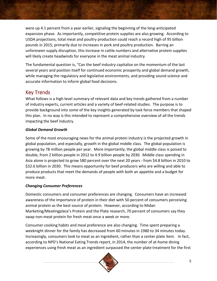were up 4.1 percent from a year earlier, signaling the beginning of the long-anticipated expansion phase. As importantly, competitive protein supplies are also growing. According to USDA projections, total meat and poultry production could reach a record high of 95 billion pounds in 2015, primarily due to increases in pork and poultry production. Barring an unforeseen supply disruption, this increase in cattle numbers and alternative protein supplies will likely create headwinds for everyone in the meat animal industry.

The fundamental question is, "Can the beef industry capitalize on the momentum of the last several years and position itself for continued economic prosperity and global demand growth, while managing the regulatory and legislative environments, and providing sound science and accurate information to inform global food decisions.

# <span id="page-6-0"></span>Key Trends

What follows is a high level summary of relevant data and key trends gathered from a number of industry experts, current articles and a variety of beef-related studies. The purpose is to provide background into some of the key insights generated by task force members that shaped this plan. In no way is this intended to represent a comprehensive overview of all the trends impacting the beef industry.

#### *Global Demand Growth*

Some of the most encouraging news for the animal protein industry is the projected growth in global population, and especially, growth in the global middle class. The global population is growing by 78 million people per year. More importantly, the global middle class is poised to double, from 2 billion people in 2012 to 4.9 billion people by 2030. Middle class spending in Asia alone is projected to grow 580 percent over the next 20 years - from \$4.8 billion in 2010 to \$32.6 billion in 2030. This means opportunity for beef producers who are willing and able to produce products that meet the demands of people with both an appetite and a budget for more meat.

## *Changing Consumer Preferences*

Domestic consumers and consumer preferences are changing. Consumers have an increased awareness of the importance of protein in their diet with 50 percent of consumers perceiving animal protein as the best source of protein. However, according to Midan Marketing/Meatingplace's Protein and the Plate research, 70 percent of consumers say they swap non-meat protein for fresh meat once a week or more.

Consumer cooking habits and meal preference are also changing. Time spent preparing a weeknight dinner for the family has decreased from 60 minutes in 1980 to 34 minutes today. Increasingly, consumers look to meat as an ingredient, rather than a center plate item. In fact, according to NPD's National Eating Trends report, in 2014, the number of at-home dining experiences using fresh meat as an ingredient surpassed the center plate treatment for the first

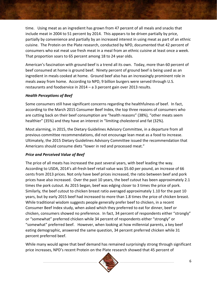time. Using meat as an ingredient has grown from 47 percent of all meals and snacks that include meat in 2004 to 51 percent by 2014. This appears to be driven partially by price, partially by convenience and partially by an increased interest in using meat as part of an ethnic cuisine. The Protein on the Plate research, conducted by NPD, documented that 42 percent of consumers who eat meat use fresh meat in a meal from an ethnic cuisine at least once a week. That proportion soars to 65 percent among 18 to 24 year olds.

American's fascination with ground beef is a trend all its own. Today, more than 60 percent of beef consumed at home is ground beef. Ninety percent of ground beef is being used as an ingredient in meals cooked at home. Ground beef also has an increasingly prominent role in meals away from home. According to NPD, 9 billion burgers were served through U.S. restaurants and foodservice in 2014 – a 3 percent gain over 2013 results.

#### *Health Perceptions of Beef*

Some consumers still have significant concerns regarding the healthfulness of beef. In fact, according to the March 2015 Consumer Beef Index, the top three reasons of consumers who are cutting back on their beef consumption are "health reasons" (38%), "other meats seem healthier" (35%) and they have an interest in "limiting cholesterol and fat (32%).

Most alarming, in 2015, the Dietary Guidelines Advisory Committee, in a departure from all previous committee recommendations, did not encourage lean meat as a food to increase. Ultimately, the 2015 Dietary Guidelines Advisory Committee issued the recommendation that Americans should consume diets "lower in red and processed meat."

## *Price and Perceived Value of Beef*

The price of all meats has increased the past several years, with beef leading the way. According to USDA, 2014's all-fresh beef retail value was \$5.60 per pound, an increase of 66 cents from 2013 prices. Not only have beef prices increased, the ratio between beef and pork prices have also increased. Over the past 10 years, the beef cutout has been approximately 2.1 times the pork cutout. As 2015 began, beef was edging closer to 3 times the price of pork. Similarly, the beef cutout to chicken breast ratio averaged approximately 1.10 for the past 10 years, but by early 2015 beef had increased to more than 1.8 times the price of chicken breast. While traditional wisdom suggests people generally prefer beef to chicken, in a recent Consumer Beef Index study, when asked which they preferred to eat for dinner, beef or chicken, consumers showed no preference. In fact, 34 percent of respondents either "strongly" or "somewhat" preferred chicken while 34 percent of respondents either "strongly" or "somewhat" preferred beef. However, when looking at how millennial parents, a key beef eating demographic, answered the same question, 34 percent preferred chicken while 31 percent preferred beef.

While many would agree that beef demand has remained surprisingly strong through significant price increases, NPD's recent Protein on the Plate research showed that 45 percent of

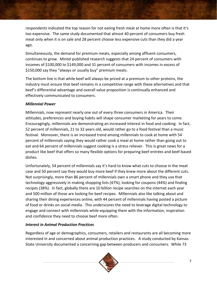respondents indicated the top reason for not eating fresh meat at home more often is that it's too expensive. The same study documented that almost 40 percent of consumers buy fresh meat only when it is on sale and 28 percent choose less expensive cuts than they did a year ago.

Simultaneously, the demand for premium meats, especially among affluent consumers, continues to grow. Mintel published research suggests that 24 percent of consumers with incomes of \$100,000 to \$149,000 and 31 percent of consumers with incomes in excess of \$150,000 say they "always or usually buy" premium meats.

The bottom line is that while beef will always be priced at a premium to other proteins, the industry must ensure that beef remains in a competitive range with these alternatives and that beef's differential advantage and overall value proposition is continually enhanced and effectively communicated to consumers.

## *Millennial Power*

Millennials, now represent nearly one out of every three consumers in America. Their attitudes, preferences and buying habits will shape consumer marketing for years to come. Encouragingly, millennials are demonstrating an increased interest in food and cooking. In fact, 52 percent of millennials, 21 to 32 years old, would rather go to a food festival than a music festival. Moreover, there is an increased trend among millennials to cook at home with 54 percent of millennials saying they would rather cook a meal at home rather than going out to eat and 64 percent of millennials suggest cooking is a stress reliever. This is great news for a product like beef that offers so many flexible options for preparing beef entrées and beef-based dishes.

Unfortunately, 54 percent of millennials say it's hard to know what cuts to choose in the meat case and 50 percent say they would buy more beef if they knew more about the different cuts. Not surprisingly, more than 86 percent of millennials own a smart phone and they use that technology aggressively in making shopping lists (47%), looking for coupons (44%) and finding recipes (38%). In fact, globally there are 10 billion recipe searches on the internet each year and 500 million of those are looking for beef recipes. Millennials also like talking about and sharing their dining experiences online, with 44 percent of millennials having posted a picture of food or drinks on social media. This underscores the need to leverage digital technology to engage and connect with millennials while equipping them with the information, inspiration and confidence they need to choose beef more often.

## *Interest in Animal Production Practices*

Regardless of age or demographics, consumers, retailers and restaurants are all becoming more interested in and concerned about animal production practices. A study conducted by Kansas State University documented a concerning gap between producers and consumers. While 73

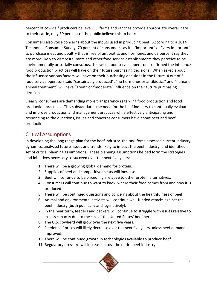percent of cow-calf producers believe U.S. farms and ranches provide appropriate overall care to their cattle, only 39 percent of the public believe this to be true.

Consumers also voice concerns about the inputs used in producing beef. According to a 2014 Technomic Consumer Survey, 70 percent of consumers say it's "important" or "very important" to purchase meat and poultry that is free of antibiotics and hormones and 63 percent say they are more likely to visit restaurants and other food service establishments they perceive to be environmentally or socially conscious. Likewise, food service operators confirmed the influence food production practices will have on their future purchasing decisions. When asked about the influence various factors will have on their purchasing decisions in the future, 4 out of 5 food service operators said "sustainably produced", "no hormones or antibiotics" and "humane animal treatment" will have "great" or "moderate" influence on their future purchasing decisions.

Clearly, consumers are demanding more transparency regarding food production and food production practices. This substantiates the need for the beef industry to continually evaluate and improve production and management practices while effectively anticipating and responding to the questions, issues and concerns consumers have about beef and beef production.

# <span id="page-9-0"></span>Critical Assumptions

In developing the long range plan for the beef industry, the task force assessed current industry dynamics, analyzed future issues and trends likely to impact the beef industry, and identified a set of critical planning assumptions. These planning assumptions helped form the strategies and initiatives necessary to succeed over the next five years:

- 1. There will be a growing global demand for protein.
- 2. Supplies of beef and competitive meats will increase.
- 3. Beef will continue to be priced high relative to other protein alternatives.
- 4. Consumers will continue to want to know where their food comes from and how it is produced.
- 5. There will be continued questions and concerns about the healthfulness of beef.
- 6. Animal and environmental activists will continue well-funded attacks against the beef industry (both publically and legislatively).
- 7. In the near term, feeders and packers will continue to struggle with issues relative to excess capacity due to the size of the United States' beef herd.
- 8. The U.S. cowherd will grow over the next five years.
- 9. Feeder calf prices will likely decrease over the next five years unless beef demand is improved.
- 10. There will be continued growth in technologies available to produce beef.
- 11. Regulatory pressure will increase across the entire beef industry.

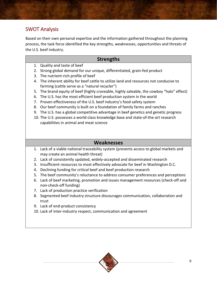# <span id="page-10-0"></span>SWOT Analysis

Based on their own personal expertise and the information gathered throughout the planning process, the task force identified the key strengths, weaknesses, opportunities and threats of the U.S. beef industry.

## **Strengths**

- 1. Quality and taste of beef
- 2. Strong global demand for our unique, differentiated, grain-fed product
- 3. The nutrient-rich profile of beef
- 4. The inherent ability for beef cattle to utilize land and resources not conducive to farming (cattle serve as a "natural recycler")
- 5. The brand equity of beef (highly craveable, highly saleable, the cowboy "halo" effect)
- 6. The U.S. has the most efficient beef production system in the world
- 7. Proven effectiveness of the U.S. beef industry's food safety system
- 8. Our beef community is built on a foundation of family farms and ranches
- 9. The U.S. has a global competitive advantage in beef genetics and genetic progress
- 10. The U.S. possesses a world-class knowledge base and state-of-the-art research capabilities in animal and meat science

## **Weaknesses**

- 1. Lack of a viable national traceability system (prevents access to global markets and may create an animal health threat)
- 2. Lack of consistently updated, widely-accepted and disseminated research
- 3. Insufficient resources to most effectively advocate for beef in Washington D.C.
- 4. Declining funding for critical beef and beef production research
- 5. The beef community's reluctance to address consumer preferences and perceptions
- 6. Lack of beef marketing, promotion and issues management resources (check-off and non-check-off funding)
- 7. Lack of production practice verification
- 8. Segmented beef industry structure discourages communication, collaboration and trust
- 9. Lack of end-product consistency
- 10. Lack of inter-industry respect, communication and agreement

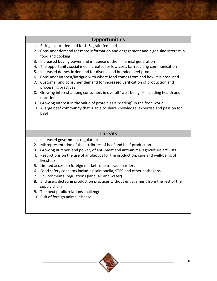## **Opportunities**

- 1. Rising export demand for U.S. grain-fed beef
- 2. Consumer demand for more information and engagement and a genuine interest in food and cooking
- 3. Increased buying power and influence of the millennial generation
- 4. The opportunity social media creates for low-cost, far-reaching communication
- 5. Increased domestic demand for diverse and branded beef products
- 6. Consumer interest/intrigue with where food comes from and how it is produced
- 7. Customer and consumer demand for increased verification of production and processing practices
- 8. Growing interest among consumers in overall "well-being" including health and nutrition
- 9. Growing interest in the value of protein as a "darling" in the food world
- 10. A large beef community that is able to share knowledge, expertise and passion for beef

## **Threats**

- 1. Increased government regulation
- 2. Misrepresentation of the attributes of beef and beef production
- 3. Growing number, and power, of anti-meat and anti-animal agriculture activists
- 4. Restrictions on the use of antibiotics for the production, care and well-being of livestock
- 5. Limited access to foreign markets due to trade barriers
- 6. Food safety concerns including salmonella, STEC and other pathogens
- 7. Environmental regulations (land, air and water)
- 8. End users dictating production practices without engagement from the rest of the supply chain
- 9. The next public relations challenge
- 10. Risk of foreign animal disease

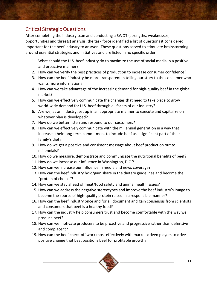# <span id="page-12-0"></span>Critical Strategic Questions

After completing the industry scan and conducting a SWOT (strengths, weaknesses, opportunities and threats) analysis, the task force identified a list of questions it considered important for the beef industry to answer. These questions served to stimulate brainstorming around essential strategies and initiatives and are listed in no specific order.

- 1. What should the U.S. beef industry do to maximize the use of social media in a positive and proactive manner?
- 2. How can we verify the best practices of production to increase consumer confidence?
- 3. How can the beef industry be more transparent in telling our story to the consumer who wants more information?
- 4. How can we take advantage of the increasing demand for high-quality beef in the global market?
- 5. How can we effectively communicate the changes that need to take place to grow world-wide demand for U.S. beef through all facets of our industry?
- 6. Are we, as an industry, set up in an appropriate manner to execute and capitalize on whatever plan is developed?
- 7. How do we better listen and respond to our customers?
- 8. How can we effectively communicate with the millennial generation in a way that increases their long-term commitment to include beef as a significant part of their family's diet?
- 9. How do we get a positive and consistent message about beef production out to millennials?
- 10. How do we measure, demonstrate and communicate the nutritional benefits of beef?
- 11. How do we increase our influence in Washington, D.C.?
- 12. How can we increase our influence in media and news coverage?
- 13. How can the beef industry hold/gain share in the dietary guidelines and become the "protein of choice"?
- 14. How can we stay ahead of meat/food safety and animal health issues?
- 15. How can we address the negative stereotypes and improve the beef industry's image to become the source of high-quality protein raised in a responsible manner?
- 16. How can the beef industry once and for all document and gain consensus from scientists and consumers that beef is a healthy food?
- 17. How can the industry help consumers trust and become comfortable with the way we produce beef?
- 18. How can we motivate producers to be proactive and progressive rather than defensive and complacent?
- 19. How can the beef check-off work most effectively with market-driven players to drive positive change that best positions beef for profitable growth?

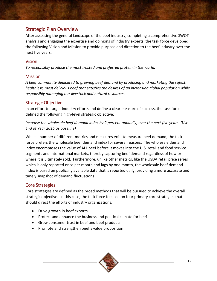# <span id="page-13-0"></span>Strategic Plan Overview

After assessing the general landscape of the beef industry, completing a comprehensive SWOT analysis and engaging the expertise and opinions of industry experts, the task force developed the following Vision and Mission to provide purpose and direction to the beef industry over the next five years.

## <span id="page-13-1"></span>Vision

*To responsibly produce the most trusted and preferred protein in the world.*

## <span id="page-13-2"></span>**Mission**

*A beef community dedicated to growing beef demand by producing and marketing the safest, healthiest, most delicious beef that satisfies the desires of an increasing global population while responsibly managing our livestock and natural resources.*

## <span id="page-13-3"></span>Strategic Objective

In an effort to target industry efforts and define a clear measure of success, the task force defined the following high-level strategic objective:

*Increase the wholesale beef demand index by 2 percent annually, over the next five years. (Use End of Year 2015 as baseline)*

While a number of different metrics and measures exist to measure beef demand, the task force prefers the wholesale beef demand index for several reasons. The wholesale demand index encompasses the value of ALL beef before it moves into the U.S. retail and food service segments and international markets, thereby capturing beef demand regardless of how or where it is ultimately sold. Furthermore, unlike other metrics, like the USDA retail price series which is only reported once per month and lags by one month, the wholesale beef demand index is based on publically available data that is reported daily, providing a more accurate and timely snapshot of demand fluctuations.

## <span id="page-13-4"></span>Core Strategies

Core strategies are defined as the broad methods that will be pursued to achieve the overall strategic objective. In this case, the task force focused on four primary core strategies that should direct the efforts of industry organizations.

- Drive growth in beef exports
- Protect and enhance the business and political climate for beef
- Grow consumer trust in beef and beef products
- Promote and strengthen beef's value proposition

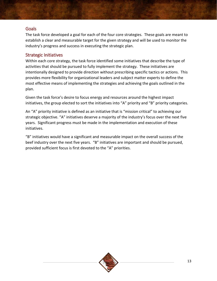## <span id="page-14-0"></span>**Goals**

The task force developed a goal for each of the four core strategies. These goals are meant to establish a clear and measurable target for the given strategy and will be used to monitor the industry's progress and success in executing the strategic plan.

#### <span id="page-14-1"></span>Strategic Initiatives

Within each core strategy, the task force identified some initiatives that describe the type of activities that should be pursued to fully implement the strategy. These initiatives are intentionally designed to provide direction without prescribing specific tactics or actions. This provides more flexibility for organizational leaders and subject matter experts to define the most effective means of implementing the strategies and achieving the goals outlined in the plan.

Given the task force's desire to focus energy and resources around the highest impact initiatives, the group elected to sort the initiatives into "A" priority and "B" priority categories.

An "A" priority initiative is defined as an initiative that is "mission critical" to achieving our strategic objective. "A" initiatives deserve a majority of the industry's focus over the next five years. Significant progress must be made in the implementation and execution of these initiatives.

"B" initiatives would have a significant and measurable impact on the overall success of the beef industry over the next five years. "B" initiatives are important and should be pursued, provided sufficient focus is first devoted to the "A" priorities.

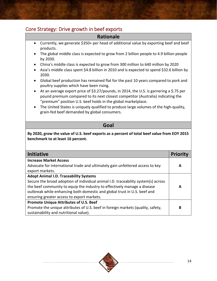# <span id="page-15-0"></span>Core Strategy: Drive growth in beef exports

## **Rationale**

- Currently, we generate \$350+ per head of additional value by exporting beef and beef products.
- The global middle class is expected to grow from 2 billion people to 4.9 billion people by 2030.
- China's middle class is expected to grow from 300 million to 640 million by 2020
- Asia's middle class spent \$4.8 billion in 2010 and is expected to spend \$32.6 billion by 2030.
- Global beef production has remained flat for the past 10 years compared to pork and poultry supplies which have been rising.
- At an average export price of \$3.27/pounds, in 2014, the U.S. is garnering a \$.75 per pound premium compared to its next closest competitor (Australia) indicating the "premium" position U.S. beef holds in the global marketplace.
- The United States is uniquely qualified to produce large volumes of the high-quality, grain-fed beef demanded by global consumers.

## **Goal**

**By 2020, grow the value of U.S. beef exports as a percent of total beef value from EOY 2015 benchmark to at least 16 percent.** 

| <b>Initiative</b>                                                                 | Prior |
|-----------------------------------------------------------------------------------|-------|
| <b>Increase Market Access</b>                                                     |       |
| Advocate for international trade and ultimately gain unfettered access to key     | A     |
| export markets.                                                                   |       |
| <b>Adopt Animal I.D. Traceability Systems</b>                                     |       |
| Secure the broad adoption of individual animal I.D. traceability system(s) across |       |
| the beef community to equip the industry to effectively manage a disease          | А     |
| outbreak while enhancing both domestic and global trust in U.S. beef and          |       |
| ensuring greater access to export markets.                                        |       |
| <b>Promote Unique Attributes of U.S. Beef</b>                                     |       |
| Promote the unique attributes of U.S. beef in foreign markets (quality, safety,   | В     |
| sustainability and nutritional value).                                            |       |

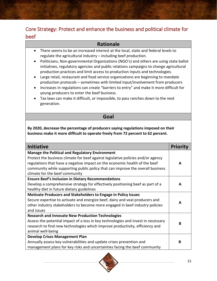# <span id="page-16-0"></span>Core Strategy: Protect and enhance the business and political climate for beef

#### **Rationale** • There seems to be an increased interest at the local, state and federal levels to regulate the agricultural industry – including beef production. • Politicians, Non-governmental Organizations (NGO's) and others are using state ballot initiatives, regulatory agencies and public relations campaigns to change agricultural production practices and limit access to production inputs and technologies. • Large retail, restaurant and food service organizations are beginning to mandate production protocols – sometimes with limited input/involvement from producers • Increases in regulations can create "barriers to entry" and make it more difficult for young producers to enter the beef business. • Tax laws can make it difficult, or impossible, to pass ranches down to the next generation. **Goal By 2020, decrease the percentage of producers saying regulations imposed on their business make it more difficult to operate freely from 72 percent to 62 percent. Initiative Priority Manage the Political and Regulatory Environment** Protect the business climate for beef against legislative policies and/or agency regulations that have a negative impact on the economic health of the beef community while supporting public policy that can improve the overall business climate for the beef community **A Ensure Beef's Inclusion in Dietary Recommendations** Develop a comprehensive strategy for effectively positioning beef as part of a healthy diet in future dietary guidelines **A Motivate Producers and Stakeholders to Engage in Policy Issues** Secure expertise to activate and energize beef, dairy and veal producers and other industry stakeholders to become more engaged in beef industry policies and issues **A Research and Innovate New Production Technologies** Assess the potential impact of a loss in key technologies and invest in necessary research to find new technologies which improve productivity, efficiency and animal well-being **B Develop Crises Management Plan** Annually assess key vulnerabilities and update crises prevention and management plans for key risks and uncertainties facing the beef community  **B**

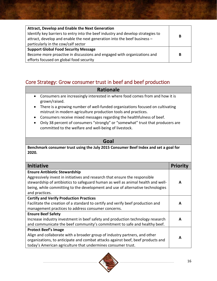| <b>Attract, Develop and Enable the Next Generation</b><br>Identify key barriers to entry into the beef industry and develop strategies to<br>attract, develop and enable the next generation into the beef business -<br>particularly in the cow/calf sector | B |
|--------------------------------------------------------------------------------------------------------------------------------------------------------------------------------------------------------------------------------------------------------------|---|
| <b>Support Global Food Security Message</b><br>Become more proactive in discussions and engaged with organizations and<br>efforts focused on global food security                                                                                            | B |

# <span id="page-17-0"></span>Core Strategy: Grow consumer trust in beef and beef production

## **Rationale**

- Consumers are increasingly interested in where food comes from and how it is grown/raised.
- There is a growing number of well-funded organizations focused on cultivating mistrust in modern agriculture production tools and practices.
- Consumers receive mixed messages regarding the healthfulness of beef.
- Only 38 percent of consumers "strongly" or "somewhat" trust that producers are committed to the welfare and well-being of livestock.

## **Goal**

**Benchmark consumer trust using the July 2015 Consumer Beef Index and set a goal for 2020.**

| Initiative                                                                       | Priori |
|----------------------------------------------------------------------------------|--------|
| <b>Ensure Antibiotic Stewardship</b>                                             |        |
| Aggressively invest in initiatives and research that ensure the responsible      |        |
| stewardship of antibiotics to safeguard human as well as animal health and well- | A      |
| being, while committing to the development and use of alternative technologies   |        |
| and practices.                                                                   |        |
| <b>Certify and Verify Production Practices</b>                                   |        |
| Facilitate the creation of a standard to certify and verify beef production and  | А      |
| management practices to address consumer concerns.                               |        |
| <b>Ensure Beef Safety</b>                                                        |        |
| Increase industry investment in beef safety and production technology research   | А      |
| and communicate the beef community's commitment to safe and healthy beef.        |        |
| <b>Protect Beef's Image</b>                                                      |        |
| Align and collaborate with a broader group of industry partners, and other       |        |
| organizations, to anticipate and combat attacks against beef, beef products and  | А      |
| today's American agriculture that undermines consumer trust.                     |        |

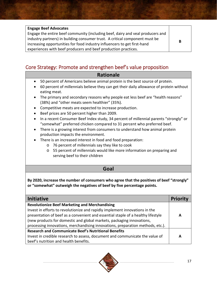| <b>Engage Beef Advocates</b>                                                   |   |
|--------------------------------------------------------------------------------|---|
| Engage the entire beef community (including beef, dairy and veal producers and |   |
| industry partners) in building consumer trust. A critical component must be    | В |
| increasing opportunities for food industry influencers to get first-hand       |   |
| experiences with beef producers and beef production practices.                 |   |

# <span id="page-18-0"></span>Core Strategy: Promote and strengthen beef's value proposition

## **Rationale**

- 50 percent of Americans believe animal protein is the best source of protein.
- 60 percent of millennials believe they can get their daily allowance of protein without eating meat.
- The primary and secondary reasons why people eat less beef are "health reasons" (38%) and "other meats seem healthier" (35%).
- Competitive meats are expected to increase production.
- Beef prices are 50 percent higher than 2009.
- In a recent Consumer Beef Index study, 34 percent of millennial parents "strongly" or "somewhat" preferred chicken compared to 31 percent who preferred beef.
- There is a growing interest from consumers to understand how animal protein production impacts the environment.
- There is an increased interest in food and food preparation:
	- o 76 percent of millennials say they like to cook
	- o 55 percent of millennials would like more information on preparing and serving beef to their children

## **Goal**

**By 2020, increase the number of consumers who agree that the positives of beef "strongly" or "somewhat" outweigh the negatives of beef by five percentage points.**

| <b>Initiative</b>                                                                | <b>Priority</b> |
|----------------------------------------------------------------------------------|-----------------|
| <b>Revolutionize Beef Marketing and Merchandising</b>                            |                 |
| Invest in efforts to revolutionize and rapidly implement innovations in the      |                 |
| presentation of beef as a convenient and essential staple of a healthy lifestyle | А               |
| (new products for domestic and global markets, packaging innovations,            |                 |
| processing innovations, merchandising innovations, preparation methods, etc.).   |                 |
| <b>Research and Communicate Beef's Nutritional Benefits</b>                      |                 |
| Invest in credible research to assess, document and communicate the value of     | А               |
| beef's nutrition and health benefits.                                            |                 |